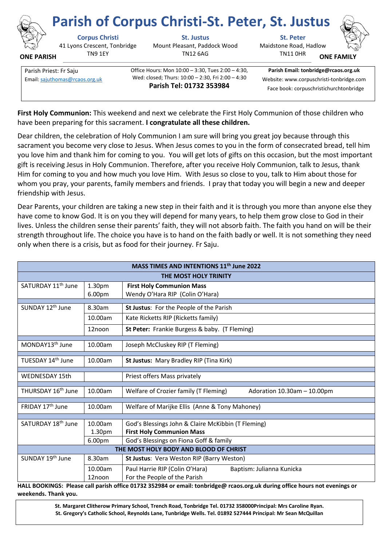

**ONE PARISH**

## **Parish of Corpus Christi-St. Peter, St. Justus**

41 Lyons Crescent, Tonbridge TN9 1EY

**Corpus Christi St. Justus St. Peter** Mount Pleasant, Paddock Wood TN12 6AG



TN11 0HR **ONE FAMI** 



Parish Priest: Fr Saju **Christian Communist Communist Communist** Office Hours: Mon 10:00 – 3:30, Tues 2:00 – 4:30, Wed: closed; Thurs: 10:00 – 2:30, Fri 2:00 – 4:30 **Parish Tel: 01732 353984** Email[: sajuthomas@rcaos.org.uk](about:blank) Wed: closed; I hurs: 10:00 – 2:30, Fri 2:00 – 4:30 Website: www.corpuschristi-tonbridge.com

**Parish Email: tonbridge@rcaos.org.uk** Face book: corpuschristichurchtonbridge

**First Holy Communion:** This weekend and next we celebrate the First Holy Communion of those children who have been preparing for this sacrament. **I congratulate all these children.** 

Dear children, the celebration of Holy Communion I am sure will bring you great joy because through this sacrament you become very close to Jesus. When Jesus comes to you in the form of consecrated bread, tell him you love him and thank him for coming to you. You will get lots of gifts on this occasion, but the most important gift is receiving Jesus in Holy Communion. Therefore, after you receive Holy Communion, talk to Jesus, thank Him for coming to you and how much you love Him. With Jesus so close to you, talk to Him about those for whom you pray, your parents, family members and friends. I pray that today you will begin a new and deeper friendship with Jesus.

Dear Parents, your children are taking a new step in their faith and it is through you more than anyone else they have come to know God. It is on you they will depend for many years, to help them grow close to God in their lives. Unless the children sense their parents' faith, they will not absorb faith. The faith you hand on will be their strength throughout life. The choice you have is to hand on the faith badly or well. It is not something they need only when there is a crisis, but as food for their journey. Fr Saju.

| MASS TIMES AND INTENTIONS 11 <sup>th</sup> June 2022 |                              |                                                                                                                                  |  |
|------------------------------------------------------|------------------------------|----------------------------------------------------------------------------------------------------------------------------------|--|
| THE MOST HOLY TRINITY                                |                              |                                                                                                                                  |  |
| SATURDAY 11 <sup>th</sup> June                       | 1.30pm<br>6.00 <sub>pm</sub> | <b>First Holy Communion Mass</b><br>Wendy O'Hara RIP (Colin O'Hara)                                                              |  |
| SUNDAY 12 <sup>th</sup> June                         | 8.30am                       | St Justus: For the People of the Parish                                                                                          |  |
|                                                      | 10.00am                      | Kate Ricketts RIP (Ricketts family)                                                                                              |  |
|                                                      | 12noon                       | St Peter: Frankie Burgess & baby. (T Fleming)                                                                                    |  |
| MONDAY13 <sup>th</sup> June                          | 10.00am                      | Joseph McCluskey RIP (T Fleming)                                                                                                 |  |
| TUESDAY 14 <sup>th</sup> June                        | 10.00am                      | St Justus: Mary Bradley RIP (Tina Kirk)                                                                                          |  |
| <b>WEDNESDAY 15th</b>                                |                              | Priest offers Mass privately                                                                                                     |  |
| THURSDAY 16 <sup>th</sup> June                       | 10.00am                      | Welfare of Crozier family (T Fleming)<br>Adoration 10.30am - 10.00pm                                                             |  |
| FRIDAY 17 <sup>th</sup> June                         | 10.00am                      | Welfare of Marijke Ellis (Anne & Tony Mahoney)                                                                                   |  |
| SATURDAY 18 <sup>th</sup> June                       | 10.00am<br>1.30pm<br>6.00pm  | God's Blessings John & Claire McKibbin (T Fleming)<br><b>First Holy Communion Mass</b><br>God's Blessings on Fiona Goff & family |  |
| THE MOST HOLY BODY AND BLOOD OF CHRIST               |                              |                                                                                                                                  |  |
| SUNDAY 19 <sup>th</sup> June                         | 8.30am                       | St Justus: Vera Weston RIP (Barry Weston)                                                                                        |  |
|                                                      | 10.00am<br>12noon            | Paul Harrie RIP (Colin O'Hara)<br>Baptism: Julianna Kunicka<br>For the People of the Parish                                      |  |

**HALL BOOKINGS: Please call parish office 01732 352984 or email: tonbridge@ rcaos.org.uk during office hours not evenings or weekends. Thank you.**

> **St. Margaret Clitherow Primary School, Trench Road, Tonbridge Tel. 01732 358000Principal: Mrs Caroline Ryan. St. Gregory's Catholic School, Reynolds Lane, Tunbridge Wells. Tel. 01892 527444 Principal: Mr Sean McQuillan**